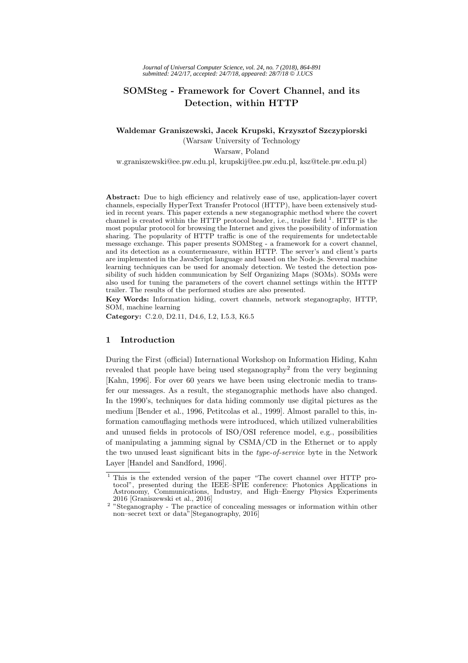# **SOMSteg - Framework for Covert Channel, and its Detection, within HTTP**

### **Waldemar Graniszewski, Jacek Krupski, Krzysztof Szczypiorski** (Warsaw University of Technology

### Warsaw, Poland

w.graniszewski@ee.pw.edu.pl, krupskij@ee.pw.edu.pl, ksz@tele.pw.edu.pl)

Abstract: Due to high efficiency and relatively ease of use, application-layer covert channels, especially HyperText Transfer Protocol (HTTP), have been extensively studied in recent years. This paper extends a new steganographic method where the covert channel is created within the HTTP protocol header, i.e., trailer field  $^1$ . HTTP is the most popular protocol for browsing the Internet and gives the possibility of information sharing. The popularity of HTTP traffic is one of the requirements for undetectable message exchange. This paper presents SOMSteg - a framework for a covert channel, and its detection as a countermeasure, within HTTP. The server's and client's parts are implemented in the JavaScript language and based on the Node.js. Several machine learning techniques can be used for anomaly detection. We tested the detection possibility of such hidden communication by Self Organizing Maps (SOMs). SOMs were also used for tuning the parameters of the covert channel settings within the HTTP trailer. The results of the performed studies are also presented.

**Key Words:** Information hiding, covert channels, network steganography, HTTP, SOM, machine learning

**Category:** C.2.0, D2.11, D4.6, I.2, I.5.3, K6.5

### **1 Introduction**

During the First (official) International Workshop on Information Hiding, Kahn revealed that people have being used steganography<sup>2</sup> from the very beginning [Kahn, 1996]. For over 60 years we have been using electronic media to transfer our messages. As a result, the steganographic methods have also changed. In the 1990's, techniques for data hiding commonly use digital pictures as the medium [Bender et al., 1996, Petitcolas et al., 1999]. Almost parallel to this, information camouflaging methods were introduced, which utilized vulnerabilities and unused fields in protocols of ISO/OSI reference model, e.g., possibilities of manipulating a jamming signal by CSMA/CD in the Ethernet or to apply the two unused least significant bits in the type-of-service byte in the Network Layer [Handel and Sandford, 1996].

<sup>&</sup>lt;sup>1</sup> This is the extended version of the paper "The covert channel over HTTP protocol", presented during the IEEE–SPIE conference: Photonics Applications in Astronomy, Communications, Industry, and High–Energy Physics Experiments

<sup>2016 [</sup>Graniszewski et al., 2016] <sup>2</sup> "Steganography - The practice of concealing messages or information within other non–secret text or data<sup>\*</sup> [Steganography, 2016]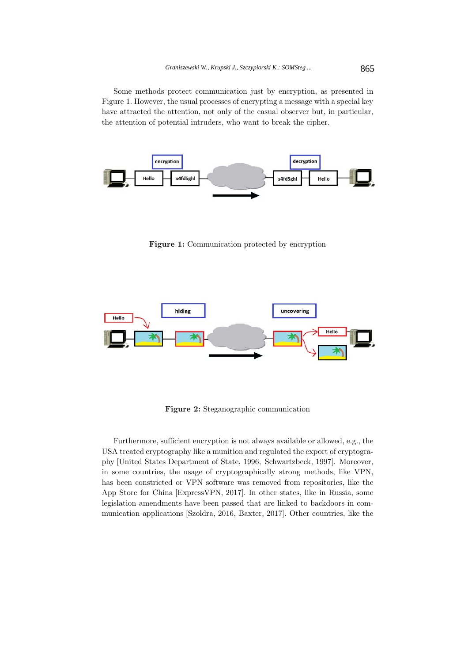Some methods protect communication just by encryption, as presented in Figure 1. However, the usual processes of encrypting a message with a special key have attracted the attention, not only of the casual observer but, in particular, the attention of potential intruders, who want to break the cipher.



**Figure 1:** Communication protected by encryption



**Figure 2:** Steganographic communication

Furthermore, sufficient encryption is not always available or allowed, e.g., the USA treated cryptography like a munition and regulated the export of cryptography [United States Department of State, 1996, Schwartzbeck, 1997]. Moreover, in some countries, the usage of cryptographically strong methods, like VPN, has been constricted or VPN software was removed from repositories, like the App Store for China [ExpressVPN, 2017]. In other states, like in Russia, some legislation amendments have been passed that are linked to backdoors in communication applications [Szoldra, 2016, Baxter, 2017]. Other countries, like the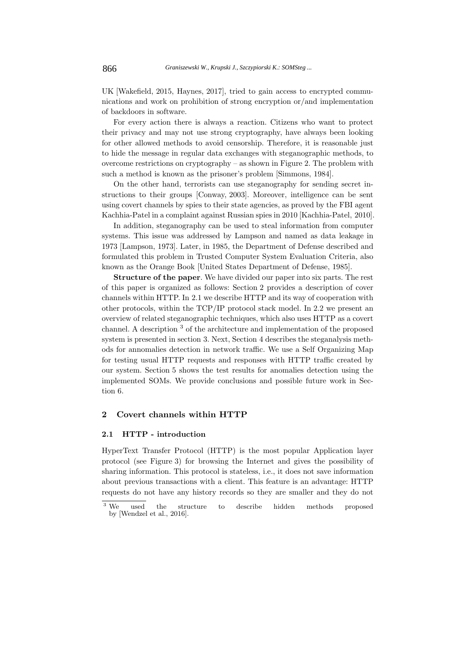UK [Wakefield, 2015, Haynes, 2017], tried to gain access to encrypted communications and work on prohibition of strong encryption or/and implementation of backdoors in software.

For every action there is always a reaction. Citizens who want to protect their privacy and may not use strong cryptography, have always been looking for other allowed methods to avoid censorship. Therefore, it is reasonable just to hide the message in regular data exchanges with steganographic methods, to overcome restrictions on cryptography – as shown in Figure 2. The problem with such a method is known as the prisoner's problem [Simmons, 1984].

On the other hand, terrorists can use steganography for sending secret instructions to their groups [Conway, 2003]. Moreover, intelligence can be sent using covert channels by spies to their state agencies, as proved by the FBI agent Kachhia-Patel in a complaint against Russian spies in 2010 [Kachhia-Patel, 2010].

In addition, steganography can be used to steal information from computer systems. This issue was addressed by Lampson and named as data leakage in 1973 [Lampson, 1973]. Later, in 1985, the Department of Defense described and formulated this problem in Trusted Computer System Evaluation Criteria, also known as the Orange Book [United States Department of Defense, 1985].

**Structure of the paper**. We have divided our paper into six parts. The rest of this paper is organized as follows: Section 2 provides a description of cover channels within HTTP. In 2.1 we describe HTTP and its way of cooperation with other protocols, within the TCP/IP protocol stack model. In 2.2 we present an overview of related steganographic techniques, which also uses HTTP as a covert channel. A description <sup>3</sup> of the architecture and implementation of the proposed system is presented in section 3. Next, Section 4 describes the steganalysis methods for annomalies detection in network traffic. We use a Self Organizing Map for testing usual HTTP requests and responses with HTTP traffic created by our system. Section 5 shows the test results for anomalies detection using the implemented SOMs. We provide conclusions and possible future work in Section 6.

### **2 Covert channels within HTTP**

### **2.1 HTTP - introduction**

HyperText Transfer Protocol (HTTP) is the most popular Application layer protocol (see Figure 3) for browsing the Internet and gives the possibility of sharing information. This protocol is stateless, i.e., it does not save information about previous transactions with a client. This feature is an advantage: HTTP requests do not have any history records so they are smaller and they do not

<sup>&</sup>lt;sup>3</sup> We used the structure to describe hidden methods proposed by [Wendzel et al., 2016].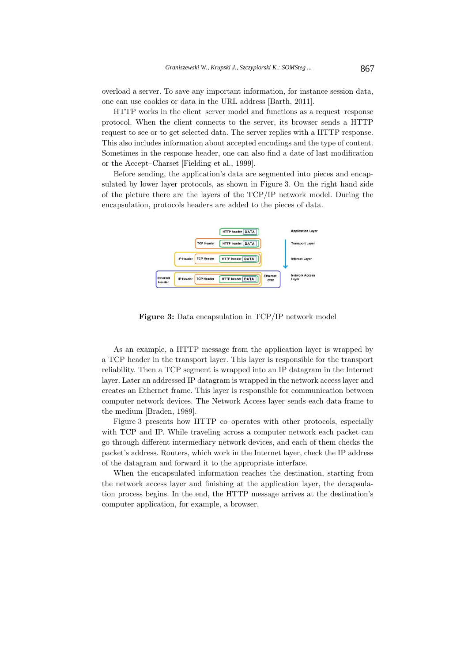overload a server. To save any important information, for instance session data, one can use cookies or data in the URL address [Barth, 2011].

HTTP works in the client–server model and functions as a request–response protocol. When the client connects to the server, its browser sends a HTTP request to see or to get selected data. The server replies with a HTTP response. This also includes information about accepted encodings and the type of content. Sometimes in the response header, one can also find a date of last modification or the Accept–Charset [Fielding et al., 1999].

Before sending, the application's data are segmented into pieces and encapsulated by lower layer protocols, as shown in Figure 3. On the right hand side of the picture there are the layers of the TCP/IP network model. During the encapsulation, protocols headers are added to the pieces of data.



**Figure 3:** Data encapsulation in TCP/IP network model

As an example, a HTTP message from the application layer is wrapped by a TCP header in the transport layer. This layer is responsible for the transport reliability. Then a TCP segment is wrapped into an IP datagram in the Internet layer. Later an addressed IP datagram is wrapped in the network access layer and creates an Ethernet frame. This layer is responsible for communication between computer network devices. The Network Access layer sends each data frame to the medium [Braden, 1989].

Figure 3 presents how HTTP co–operates with other protocols, especially with TCP and IP. While traveling across a computer network each packet can go through different intermediary network devices, and each of them checks the packet's address. Routers, which work in the Internet layer, check the IP address of the datagram and forward it to the appropriate interface.

When the encapsulated information reaches the destination, starting from the network access layer and finishing at the application layer, the decapsulation process begins. In the end, the HTTP message arrives at the destination's computer application, for example, a browser.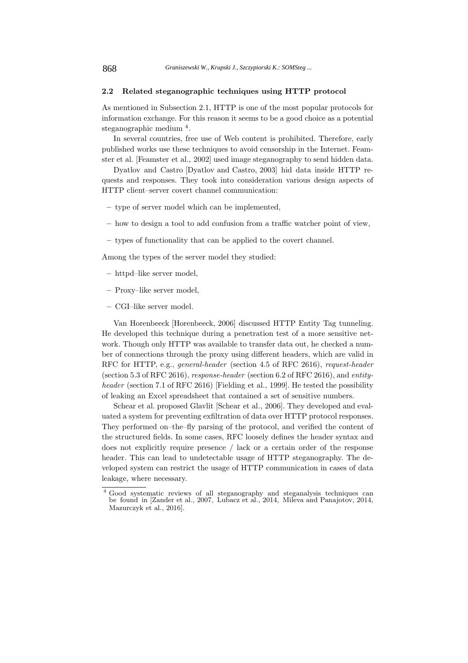#### **2.2 Related steganographic techniques using HTTP protocol**

As mentioned in Subsection 2.1, HTTP is one of the most popular protocols for information exchange. For this reason it seems to be a good choice as a potential steganographic medium <sup>4</sup>.

In several countries, free use of Web content is prohibited. Therefore, early published works use these techniques to avoid censorship in the Internet. Feamster et al. [Feamster et al., 2002] used image steganography to send hidden data.

Dyatlov and Castro [Dyatlov and Castro, 2003] hid data inside HTTP requests and responses. They took into consideration various design aspects of HTTP client–server covert channel communication:

- **–** type of server model which can be implemented,
- **–** how to design a tool to add confusion from a traffic watcher point of view,
- **–** types of functionality that can be applied to the covert channel.

Among the types of the server model they studied:

- **–** httpd–like server model,
- **–** Proxy–like server model,
- **–** CGI–like server model.

Van Horenbeeck [Horenbeeck, 2006] discussed HTTP Entity Tag tunneling. He developed this technique during a penetration test of a more sensitive network. Though only HTTP was available to transfer data out, he checked a number of connections through the proxy using different headers, which are valid in RFC for HTTP, e.g., general-header (section 4.5 of RFC 2616), request-header (section 5.3 of RFC 2616), response-header (section 6.2 of RFC 2616), and entityheader (section 7.1 of RFC 2616) [Fielding et al., 1999]. He tested the possibility of leaking an Excel spreadsheet that contained a set of sensitive numbers.

Schear et al. proposed Glavlit [Schear et al., 2006]. They developed and evaluated a system for preventing exfiltration of data over HTTP protocol responses. They performed on–the–fly parsing of the protocol, and verified the content of the structured fields. In some cases, RFC loosely defines the header syntax and does not explicitly require presence / lack or a certain order of the response header. This can lead to undetectable usage of HTTP steganography. The developed system can restrict the usage of HTTP communication in cases of data leakage, where necessary.

<sup>4</sup> Good systematic reviews of all steganography and steganalysis techniques can be found in [Zander et al., 2007, Lubacz et al., 2014, Mileva and Panajotov, 2014, Mazurczyk et al., 2016].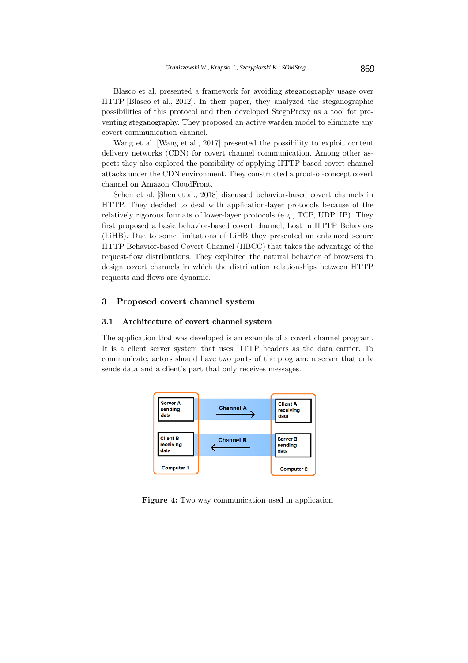Blasco et al. presented a framework for avoiding steganography usage over HTTP [Blasco et al., 2012]. In their paper, they analyzed the steganographic possibilities of this protocol and then developed StegoProxy as a tool for preventing steganography. They proposed an active warden model to eliminate any covert communication channel.

Wang et al. [Wang et al., 2017] presented the possibility to exploit content delivery networks (CDN) for covert channel communication. Among other aspects they also explored the possibility of applying HTTP-based covert channel attacks under the CDN environment. They constructed a proof-of-concept covert channel on Amazon CloudFront.

Schen et al. [Shen et al., 2018] discussed behavior-based covert channels in HTTP. They decided to deal with application-layer protocols because of the relatively rigorous formats of lower-layer protocols (e.g., TCP, UDP, IP). They first proposed a basic behavior-based covert channel, Lost in HTTP Behaviors (LiHB). Due to some limitations of LiHB they presented an enhanced secure HTTP Behavior-based Covert Channel (HBCC) that takes the advantage of the request-flow distributions. They exploited the natural behavior of browsers to design covert channels in which the distribution relationships between HTTP requests and flows are dynamic.

### **3 Proposed covert channel system**

#### **3.1 Architecture of covert channel system**

The application that was developed is an example of a covert channel program. It is a client–server system that uses HTTP headers as the data carrier. To communicate, actors should have two parts of the program: a server that only sends data and a client's part that only receives messages.



**Figure 4:** Two way communication used in application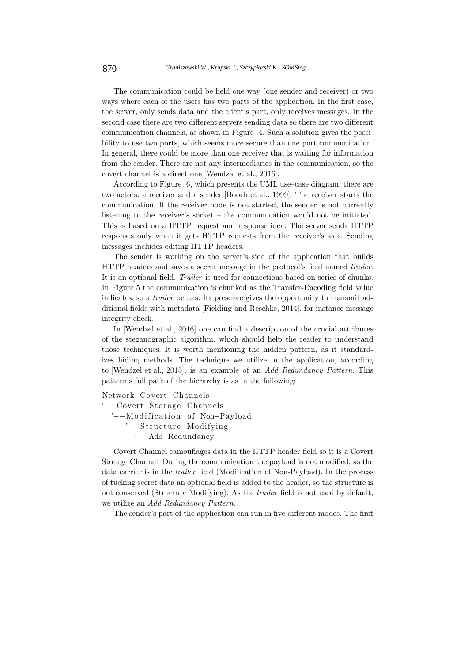The communication could be held one way (one sender and receiver) or two ways where each of the users has two parts of the application. In the first case, the server, only sends data and the client's part, only receives messages. In the second case there are two different servers sending data so there are two different communication channels, as shown in Figure 4. Such a solution gives the possibility to use two ports, which seems more secure than one port communication. In general, there could be more than one receiver that is waiting for information from the sender. There are not any intermediaries in the communication, so the covert channel is a direct one [Wendzel et al., 2016].

According to Figure 6, which presents the UML use–case diagram, there are two actors: a receiver and a sender [Booch et al., 1999]. The receiver starts the communication. If the receiver node is not started, the sender is not currently listening to the receiver's socket – the communication would not be initiated. This is based on a HTTP request and response idea. The server sends HTTP responses only when it gets HTTP requests from the receiver's side. Sending messages includes editing HTTP headers.

The sender is working on the server's side of the application that builds HTTP headers and saves a secret message in the protocol's field named trailer. It is an optional field. Trailer is used for connections based on series of chunks. In Figure 5 the communication is chunked as the Transfer-Encoding field value indicates, so a trailer occurs. Its presence gives the opportunity to transmit additional fields with metadata [Fielding and Reschke, 2014], for instance message integrity check.

In [Wendzel et al., 2016] one can find a description of the crucial attributes of the steganographic algorithm, which should help the reader to understand those techniques. It is worth mentioning the hidden pattern, as it standardizes hiding methods. The technique we utilize in the application, according to [Wendzel et al., 2015], is an example of an Add Redundancy Pattern. This pattern's full path of the hierarchy is as in the following:

Network Covert Channels '−−Covert Storage Channels '--Modification of Non-Payload '−−Structure Modifying '−−Add Redundancy

Covert Channel camouflages data in the HTTP header field so it is a Covert Storage Channel. During the communication the payload is not modified, as the data carrier is in the trailer field (Modification of Non-Payload). In the process of tucking secret data an optional field is added to the header, so the structure is not conserved (Structure Modifying). As the trailer field is not used by default, we utilize an Add Redundancy Pattern.

The sender's part of the application can run in five different modes. The first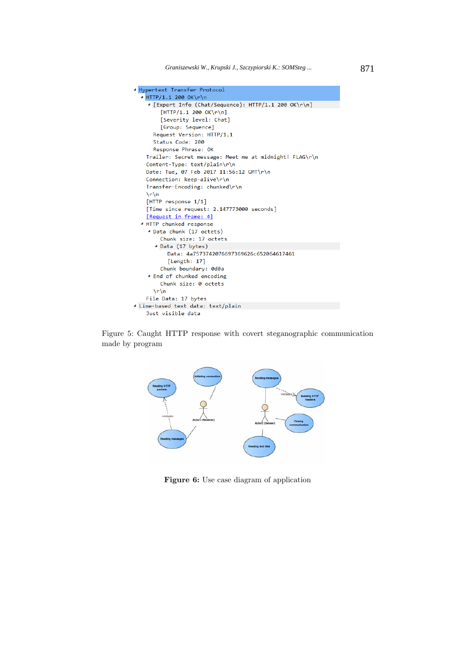

Figure 5: Caught HTTP response with covert steganographic communication made by program



**Figure 6:** Use case diagram of application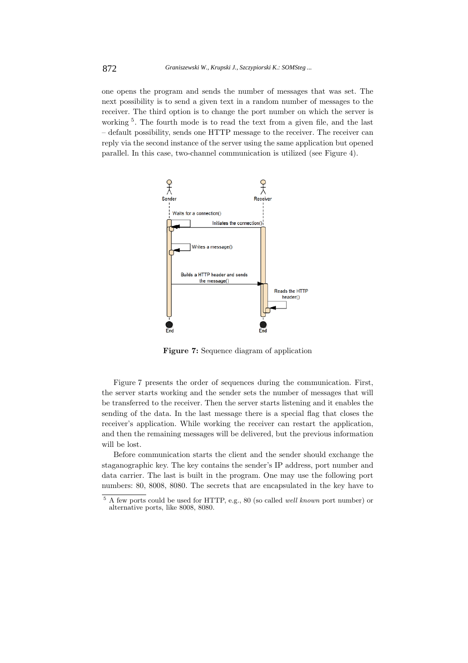one opens the program and sends the number of messages that was set. The next possibility is to send a given text in a random number of messages to the receiver. The third option is to change the port number on which the server is working<sup>5</sup>. The fourth mode is to read the text from a given file, and the last – default possibility, sends one HTTP message to the receiver. The receiver can reply via the second instance of the server using the same application but opened parallel. In this case, two-channel communication is utilized (see Figure 4).



**Figure 7:** Sequence diagram of application

Figure 7 presents the order of sequences during the communication. First, the server starts working and the sender sets the number of messages that will be transferred to the receiver. Then the server starts listening and it enables the sending of the data. In the last message there is a special flag that closes the receiver's application. While working the receiver can restart the application, and then the remaining messages will be delivered, but the previous information will be lost.

Before communication starts the client and the sender should exchange the staganographic key. The key contains the sender's IP address, port number and data carrier. The last is built in the program. One may use the following port numbers: 80, 8008, 8080. The secrets that are encapsulated in the key have to

<sup>5</sup> A few ports could be used for HTTP, e.g., 80 (so called well known port number) or alternative ports, like 8008, 8080.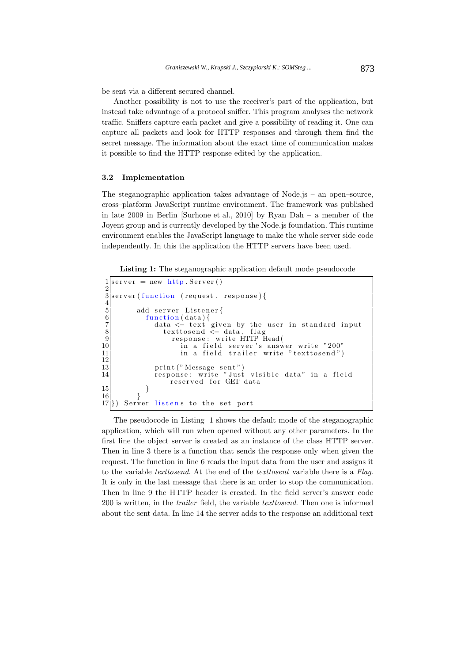be sent via a different secured channel.

Another possibility is not to use the receiver's part of the application, but instead take advantage of a protocol sniffer. This program analyses the network traffic. Sniffers capture each packet and give a possibility of reading it. One can capture all packets and look for HTTP responses and through them find the secret message. The information about the exact time of communication makes it possible to find the HTTP response edited by the application.

#### **3.2 Implementation**

The steganographic application takes advantage of Node.js – an open–source, cross–platform JavaScript runtime environment. The framework was published in late 2009 in Berlin [Surhone et al., 2010] by Ryan Dah – a member of the Joyent group and is currently developed by the Node.js foundation. This runtime environment enables the JavaScript language to make the whole server side code independently. In this the application the HTTP servers have been used.

**Listing 1:** The steganographic application default mode pseudocode

```
1 \text{server} = \text{new} \text{http. Server()}\frac{2}{3}server ( function ( request, response ) {
 \frac{4}{5}\begin{array}{c|c} \text{5} & \text{add server } \text{Listener} \{ \, \, 6 \, \, & \text{function (data) } \{ \, \, 7 \, \, & \text{data } < \!\!- \text{ text } \text{giv} \, \, & \text{textosend } < \!\!- \end{array}function (data)7 data \leq text given by the user in standard input
 8 texttosend <− data, flag
9 response: write HTTP Head (10)
10 in a field server's answer write "200"
11 in a field trailer write "texttosend")
\frac{12}{13}13 print ("Message sent")<br>14 response: write "Just
                  response: write "Just visible data" in a field
                       reserved for GET data
\begin{array}{c} 15 \\ 16 \end{array} }
16 }
17<sup>(1)</sup>) Server listens to the set port
```
The pseudocode in Listing 1 shows the default mode of the steganographic application, which will run when opened without any other parameters. In the first line the object server is created as an instance of the class HTTP server. Then in line 3 there is a function that sends the response only when given the request. The function in line 6 reads the input data from the user and assigns it to the variable texttosend. At the end of the texttosent variable there is a Flag. It is only in the last message that there is an order to stop the communication. Then in line 9 the HTTP header is created. In the field server's answer code 200 is written, in the trailer field, the variable texttosend. Then one is informed about the sent data. In line 14 the server adds to the response an additional text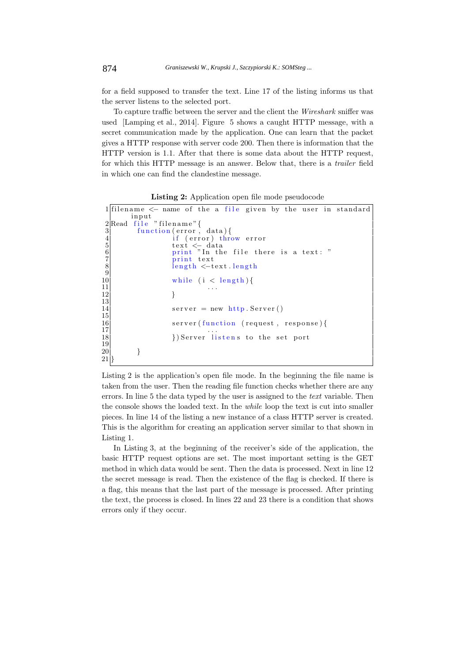for a field supposed to transfer the text. Line 17 of the listing informs us that the server listens to the selected port.

To capture traffic between the server and the client the Wireshark sniffer was used [Lamping et al., 2014]. Figure 5 shows a caught HTTP message, with a secret communication made by the application. One can learn that the packet gives a HTTP response with server code 200. Then there is information that the HTTP version is 1.1. After that there is some data about the HTTP request, for which this HTTP message is an answer. Below that, there is a trailer field in which one can find the clandestine message.

**Listing 2:** Application open file mode pseudocode

```
1 filename \leq name of the a file given by the user in standard
          input
 2Read file "filename" {<br>3 function (error,
 \begin{array}{c} 3 \\ 4 \end{array} function (error, data) {<br>\begin{array}{c} 4 \text{ if } (\text{error}) \text{ throw error} \end{array}4 if (error) throw error text <− data
 6 print "In the file there is a text: "
                        print text
                        length <−text . length
\begin{array}{c} 5 \\ 6 \\ 7 \\ 8 \\ 9 \\ 10 \end{array}\begin{array}{c|c} \text{10} & \text{while } (i < \text{length}) \{11\} \end{array}\left| \begin{array}{ccc} 11 & & & \dots \end{array} \right||12| }
13
14 server = new http. Server ()
15 \\ 1616 server (function (request, response) {<br>17
\left| \frac{17}{12} \right| ...
18 })Server listens to the set port
19
20 }
21<sup>\mid</sup>
```
Listing 2 is the application's open file mode. In the beginning the file name is taken from the user. Then the reading file function checks whether there are any errors. In line 5 the data typed by the user is assigned to the text variable. Then the console shows the loaded text. In the while loop the text is cut into smaller pieces. In line 14 of the listing a new instance of a class HTTP server is created. This is the algorithm for creating an application server similar to that shown in Listing 1.

In Listing 3, at the beginning of the receiver's side of the application, the basic HTTP request options are set. The most important setting is the GET method in which data would be sent. Then the data is processed. Next in line 12 the secret message is read. Then the existence of the flag is checked. If there is a flag, this means that the last part of the message is processed. After printing the text, the process is closed. In lines 22 and 23 there is a condition that shows errors only if they occur.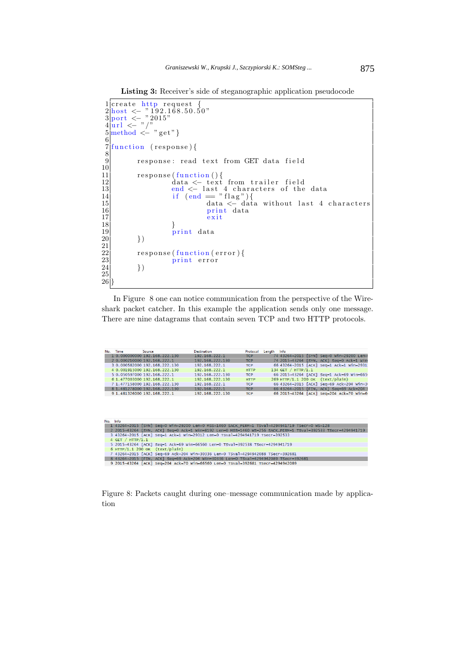Listing 3: Receiver's side of steganographic application pseudocode

```
1|create http request {<br>2\frac{\text{host}}{\text{cost}} < - "192.168.50.50"
 3 port <- "2015"
 4|\mathbf{u}\mathbf{r}| \leq "/"
 5 \text{ method } \leq v get"}
 6
   7 function ( response ) {
 \begin{array}{c} 7 \\ 8 \\ 9 \end{array}response: read text from GET data field
\begin{array}{c} 10 \\ 11 \\ 12 \\ 13 \end{array}11 response(function(){<br>12 data <− text from trailer field
13 end <− last 4 characters of the data
14 if (end == "flag"){<br>15 data <− data without last 4 characters
16 print data
17 exit
18 }
19 print data
           \})
\frac{20}{21}<br>\frac{22}{23}response (function (error) {
                      print error
           )\frac{24}{25}\overline{26}
```
In Figure 8 one can notice communication from the perspective of the Wireshark packet catcher. In this example the application sends only one message. There are nine datagrams that contain seven TCP and two HTTP protocols.

| No. Time | <b>Source</b>                 | <b>Destination</b> | Protocol    | Info<br>Lenath                            |
|----------|-------------------------------|--------------------|-------------|-------------------------------------------|
|          | 1 0.000000000 192.168.222.130 | 192.168.222.1      | <b>TCP</b>  | 74 43264-2015 [SYN] Sea=0 Win=29200 Len=  |
|          | 2 0.000210000 192.168.222.1   | 192.168.222.130    | <b>TCP</b>  | 74 2015-43264 [SYN, ACK] Seq=0 Ack=1 Win  |
|          | 3 0.000582000 192.168.222.130 | 192.168.222.1      | <b>TCP</b>  | 66 43264-2015 [ACK] Seq=1 Ack=1 Win=2931  |
|          | 4 0.001915000 192.168.222.130 | 192.168.222.1      | <b>HTTP</b> | 134 GET / HTTP/1.1                        |
|          | 5 0.050597000 192.168.222.1   | 192.168.222.130    | <b>TCP</b>  | 66 2015-43264 [ACK] Seq=1 Ack=69 win=665  |
|          | 6 1.477003000 192.168.222.1   | 192.168.222.130    | <b>HTTP</b> | 269 HTTP/1.1 200 OK (text/plain)          |
|          | 7 1.477158000 192.168.222.130 | 192.168.222.1      | <b>TCP</b>  | 66 43264-2015 [ACK] Seq=69 Ack=204 Win=3  |
|          | 8 1.481278000 192.168.222.130 | 192.168.222.1      | <b>TCP</b>  | 66 43264-2015 [FIN, ACK] Sea=69 Ack=204 \ |
|          | 9 1.481326000 192.168.222.1   | 192.168.222.130    | <b>TCP</b>  | 66 2015-43264 [ACK] Seq=204 Ack=70 Win=6  |

| No. Info                                                                                                     |  |  |  |  |  |
|--------------------------------------------------------------------------------------------------------------|--|--|--|--|--|
| 1 43264-2015 [SYN] Seq=0 Win=29200 Len=0 MSS=1460 SACK PERM=1 TSval=4294941719 TSecr=0 WS=128                |  |  |  |  |  |
| 2 2015-43264 [SYN, ACK] Seg=0 Ack=1 Win=8192 Len=0 MSS=1460 WS=256 SACK PERM=1 TSyal=392533 TSecr=4294941719 |  |  |  |  |  |
| 3 43264-2015 [ACK] Seq=1 Ack=1 Win=29312 Len=0 TSval=4294941719 TSecr=392533                                 |  |  |  |  |  |
| 4 GET / $HTTP/1.1$                                                                                           |  |  |  |  |  |
| 5 2015-43264 [ACK] Seg=1 Ack=69 Win=66560 Len=0 TSval=392538 TSecr=4294941719                                |  |  |  |  |  |
| $6$ HTTP/1.1 200 OK (text/plain)                                                                             |  |  |  |  |  |
| 7 43264-2015 [ACK] Seg=69 Ack=204 Win=30336 Len=0 TSval=4294942088 TSecr=392681                              |  |  |  |  |  |
| 8 43264-2015 FIN. ACK] Seg=69 Ack=204 Win=30336 Len=0 TSyal=4294942089 TSecr=392681                          |  |  |  |  |  |
| 9 2015-43264 [ACK] Seg=204 Ack=70 Win=66560 Len=0 TSval=392681 TSecr=4294942089                              |  |  |  |  |  |

Figure 8: Packets caught during one–message communication made by application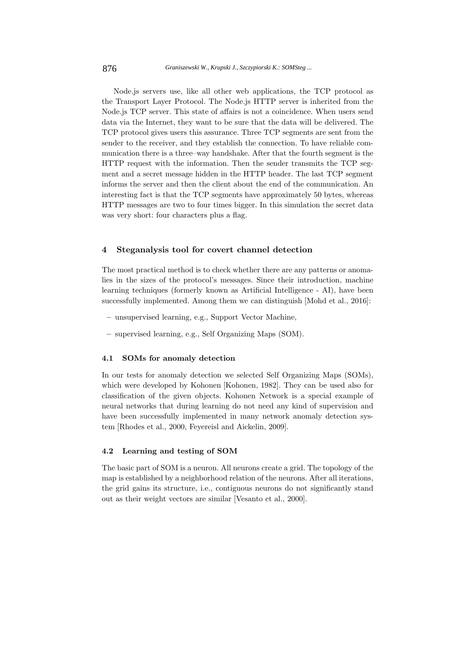Node.js servers use, like all other web applications, the TCP protocol as the Transport Layer Protocol. The Node.js HTTP server is inherited from the Node.js TCP server. This state of affairs is not a coincidence. When users send data via the Internet, they want to be sure that the data will be delivered. The TCP protocol gives users this assurance. Three TCP segments are sent from the sender to the receiver, and they establish the connection. To have reliable communication there is a three–way handshake. After that the fourth segment is the HTTP request with the information. Then the sender transmits the TCP segment and a secret message hidden in the HTTP header. The last TCP segment informs the server and then the client about the end of the communication. An interesting fact is that the TCP segments have approximately 50 bytes, whereas HTTP messages are two to four times bigger. In this simulation the secret data was very short: four characters plus a flag.

### **4 Steganalysis tool for covert channel detection**

The most practical method is to check whether there are any patterns or anomalies in the sizes of the protocol's messages. Since their introduction, machine learning techniques (formerly known as Artificial Intelligence - AI), have been successfully implemented. Among them we can distinguish [Mohd et al., 2016]:

- **–** unsupervised learning, e.g., Support Vector Machine,
- **–** supervised learning, e.g., Self Organizing Maps (SOM).

#### **4.1 SOMs for anomaly detection**

In our tests for anomaly detection we selected Self Organizing Maps (SOMs), which were developed by Kohonen [Kohonen, 1982]. They can be used also for classification of the given objects. Kohonen Network is a special example of neural networks that during learning do not need any kind of supervision and have been successfully implemented in many network anomaly detection system [Rhodes et al., 2000, Feyereisl and Aickelin, 2009].

### **4.2 Learning and testing of SOM**

The basic part of SOM is a neuron. All neurons create a grid. The topology of the map is established by a neighborhood relation of the neurons. After all iterations, the grid gains its structure, i.e., contiguous neurons do not significantly stand out as their weight vectors are similar [Vesanto et al., 2000].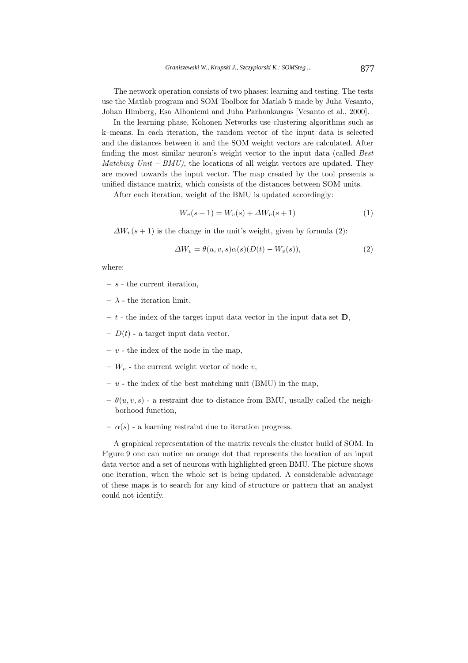The network operation consists of two phases: learning and testing. The tests use the Matlab program and SOM Toolbox for Matlab 5 made by Juha Vesanto, Johan Himberg, Esa Alhoniemi and Juha Parhankangas [Vesanto et al., 2000].

In the learning phase, Kohonen Networks use clustering algorithms such as k–means. In each iteration, the random vector of the input data is selected and the distances between it and the SOM weight vectors are calculated. After finding the most similar neuron's weight vector to the input data (called Best Matching Unit –  $BMU$ , the locations of all weight vectors are updated. They are moved towards the input vector. The map created by the tool presents a unified distance matrix, which consists of the distances between SOM units.

After each iteration, weight of the BMU is updated accordingly:

$$
W_v(s+1) = W_v(s) + \Delta W_v(s+1)
$$
\n(1)

 $\Delta W_v(s+1)$  is the change in the unit's weight, given by formula (2):

$$
\Delta W_v = \theta(u, v, s)\alpha(s)(D(t) - W_v(s)),\tag{2}
$$

where:

- **–** s the current iteration,
- **–** λ the iteration limit,
- $t$  the index of the target input data vector in the input data set **D**,
- $-D(t)$  a target input data vector,
- **–** v the index of the node in the map,
- $W_v$  the current weight vector of node v,
- $u$  the index of the best matching unit (BMU) in the map,
- $-\theta(u, v, s)$  a restraint due to distance from BMU, usually called the neighborhood function,
- $-\alpha(s)$  a learning restraint due to iteration progress.

A graphical representation of the matrix reveals the cluster build of SOM. In Figure 9 one can notice an orange dot that represents the location of an input data vector and a set of neurons with highlighted green BMU. The picture shows one iteration, when the whole set is being updated. A considerable advantage of these maps is to search for any kind of structure or pattern that an analyst could not identify.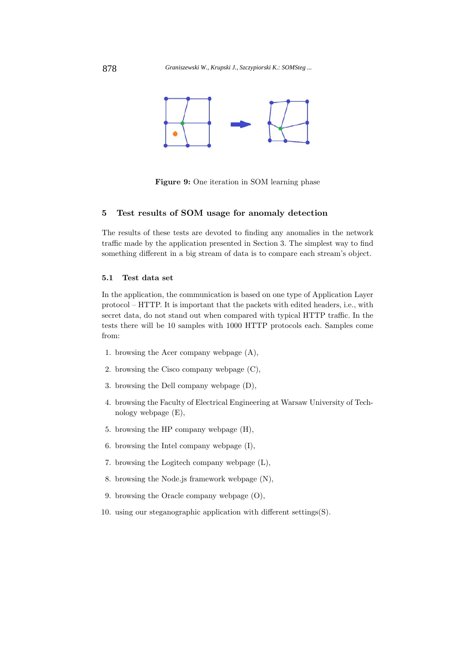

**Figure 9:** One iteration in SOM learning phase

# **5 Test results of SOM usage for anomaly detection**

The results of these tests are devoted to finding any anomalies in the network traffic made by the application presented in Section 3. The simplest way to find something different in a big stream of data is to compare each stream's object.

#### **5.1 Test data set**

In the application, the communication is based on one type of Application Layer protocol – HTTP. It is important that the packets with edited headers, i.e., with secret data, do not stand out when compared with typical HTTP traffic. In the tests there will be 10 samples with 1000 HTTP protocols each. Samples come from:

- 1. browsing the Acer company webpage (A),
- 2. browsing the Cisco company webpage (C),
- 3. browsing the Dell company webpage (D),
- 4. browsing the Faculty of Electrical Engineering at Warsaw University of Technology webpage (E),
- 5. browsing the HP company webpage (H),
- 6. browsing the Intel company webpage (I),
- 7. browsing the Logitech company webpage (L),
- 8. browsing the Node.js framework webpage (N),
- 9. browsing the Oracle company webpage (O),
- 10. using our steganographic application with different settings(S).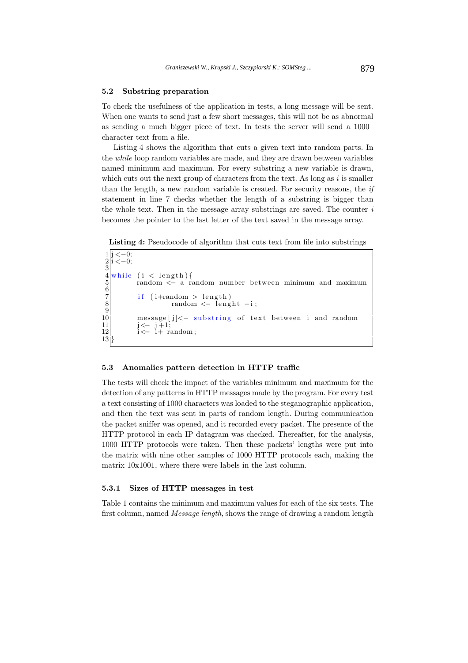#### **5.2 Substring preparation**

To check the usefulness of the application in tests, a long message will be sent. When one wants to send just a few short messages, this will not be as abnormal as sending a much bigger piece of text. In tests the server will send a 1000– character text from a file.

Listing 4 shows the algorithm that cuts a given text into random parts. In the while loop random variables are made, and they are drawn between variables named minimum and maximum. For every substring a new variable is drawn, which cuts out the next group of characters from the text. As long as  $i$  is smaller than the length, a new random variable is created. For security reasons, the if statement in line 7 checks whether the length of a substring is bigger than the whole text. Then in the message array substrings are saved. The counter  $i$ becomes the pointer to the last letter of the text saved in the message array.

Listing 4: Pseudocode of algorithm that cuts text from file into substrings

 $1 | j < -0;$  $2 | i < -0;$ 3 while  $(i < length)$  {  $r$ andom  $\leq$  a random number between minimum and maximum 6  $7$  if (i+random > length) 8 random <− lenght −i; 9 10 message [j] <− substring of text between i and random<br>11 i <− i+1; 11  $j \leftarrow j + 1;$  $12$  i  $\leftarrow$  i  $+$  random; 13 }

#### **5.3 Anomalies pattern detection in HTTP traffic**

The tests will check the impact of the variables minimum and maximum for the detection of any patterns in HTTP messages made by the program. For every test a text consisting of 1000 characters was loaded to the steganographic application, and then the text was sent in parts of random length. During communication the packet sniffer was opened, and it recorded every packet. The presence of the HTTP protocol in each IP datagram was checked. Thereafter, for the analysis, 1000 HTTP protocols were taken. Then these packets' lengths were put into the matrix with nine other samples of 1000 HTTP protocols each, making the matrix 10x1001, where there were labels in the last column.

#### **5.3.1 Sizes of HTTP messages in test**

Table 1 contains the minimum and maximum values for each of the six tests. The first column, named Message length, shows the range of drawing a random length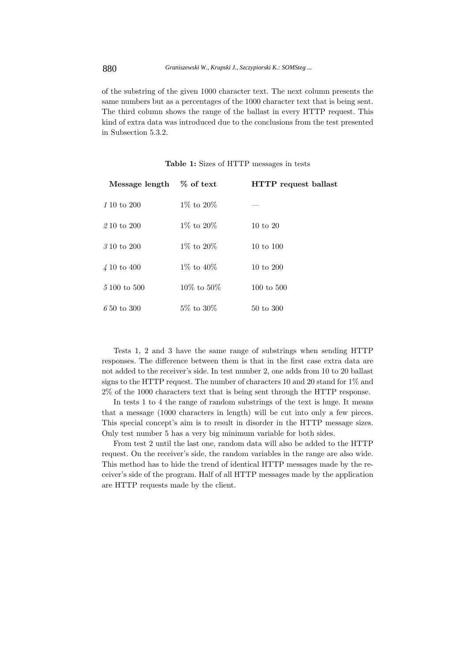of the substring of the given 1000 character text. The next column presents the same numbers but as a percentages of the 1000 character text that is being sent. The third column shows the range of the ballast in every HTTP request. This kind of extra data was introduced due to the conclusions from the test presented in Subsection 5.3.2.

| Message length % of text |                  | HTTP request ballast  |
|--------------------------|------------------|-----------------------|
| 1 10 to 200              | $1\%$ to $20\%$  |                       |
| 2 10 to 200              | $1\%$ to $20\%$  | $10 \text{ to } 20$   |
| 3 10 to 200              | $1\%$ to $20\%$  | $10 \text{ to } 100$  |
| $\sqrt{4}$ 10 to 400     | $1\%$ to $40\%$  | $10 \text{ to } 200$  |
| $5100 \text{ to } 500$   | $10\%$ to $50\%$ | $100 \text{ to } 500$ |
| $650 \text{ to } 300$    | $5\%$ to $30\%$  | 50 to 300             |

**Table 1:** Sizes of HTTP messages in tests

Tests 1, 2 and 3 have the same range of substrings when sending HTTP responses. The difference between them is that in the first case extra data are not added to the receiver's side. In test number 2, one adds from 10 to 20 ballast signs to the HTTP request. The number of characters 10 and 20 stand for 1% and 2% of the 1000 characters text that is being sent through the HTTP response.

In tests 1 to 4 the range of random substrings of the text is huge. It means that a message (1000 characters in length) will be cut into only a few pieces. This special concept's aim is to result in disorder in the HTTP message sizes. Only test number 5 has a very big minimum variable for both sides.

From test 2 until the last one, random data will also be added to the HTTP request. On the receiver's side, the random variables in the range are also wide. This method has to hide the trend of identical HTTP messages made by the receiver's side of the program. Half of all HTTP messages made by the application are HTTP requests made by the client.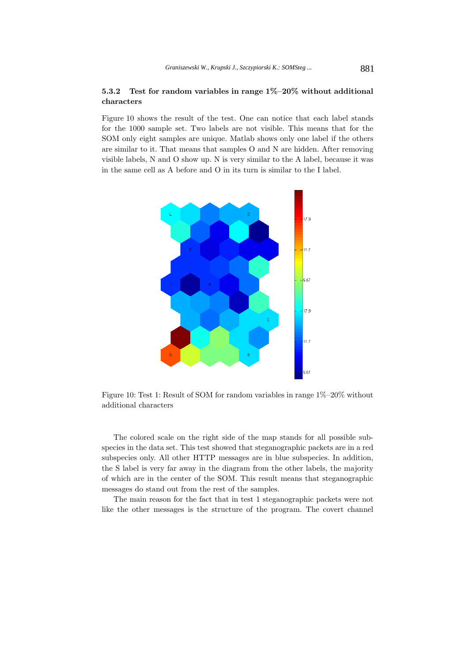## **5.3.2 Test for random variables in range 1%–20% without additional characters**

Figure 10 shows the result of the test. One can notice that each label stands for the 1000 sample set. Two labels are not visible. This means that for the SOM only eight samples are unique. Matlab shows only one label if the others are similar to it. That means that samples O and N are hidden. After removing visible labels, N and O show up. N is very similar to the A label, because it was in the same cell as A before and O in its turn is similar to the I label.



Figure 10: Test 1: Result of SOM for random variables in range 1%–20% without additional characters

The colored scale on the right side of the map stands for all possible subspecies in the data set. This test showed that steganographic packets are in a red subspecies only. All other HTTP messages are in blue subspecies. In addition, the S label is very far away in the diagram from the other labels, the majority of which are in the center of the SOM. This result means that steganographic messages do stand out from the rest of the samples.

The main reason for the fact that in test 1 steganographic packets were not like the other messages is the structure of the program. The covert channel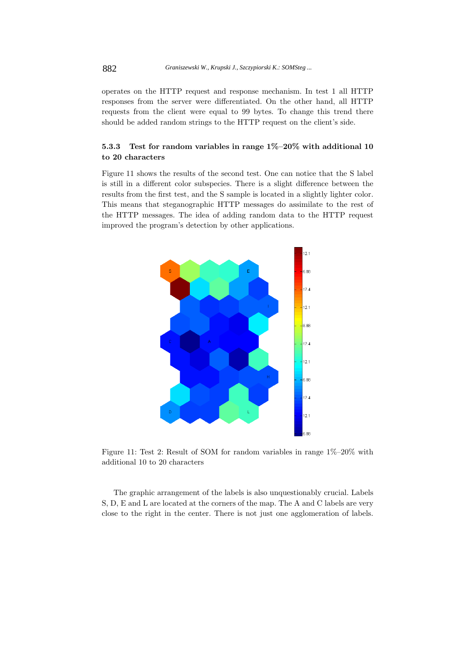operates on the HTTP request and response mechanism. In test 1 all HTTP responses from the server were differentiated. On the other hand, all HTTP requests from the client were equal to 99 bytes. To change this trend there should be added random strings to the HTTP request on the client's side.

# **5.3.3 Test for random variables in range 1%–20% with additional 10 to 20 characters**

Figure 11 shows the results of the second test. One can notice that the S label is still in a different color subspecies. There is a slight difference between the results from the first test, and the S sample is located in a slightly lighter color. This means that steganographic HTTP messages do assimilate to the rest of the HTTP messages. The idea of adding random data to the HTTP request improved the program's detection by other applications.



Figure 11: Test 2: Result of SOM for random variables in range 1%–20% with additional 10 to 20 characters

The graphic arrangement of the labels is also unquestionably crucial. Labels S, D, E and L are located at the corners of the map. The A and C labels are very close to the right in the center. There is not just one agglomeration of labels.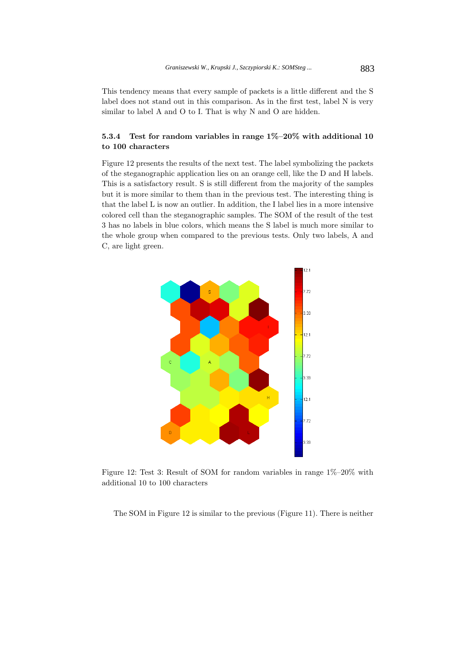This tendency means that every sample of packets is a little different and the S label does not stand out in this comparison. As in the first test, label N is very similar to label A and O to I. That is why N and O are hidden.

# **5.3.4 Test for random variables in range 1%–20% with additional 10 to 100 characters**

Figure 12 presents the results of the next test. The label symbolizing the packets of the steganographic application lies on an orange cell, like the D and H labels. This is a satisfactory result. S is still different from the majority of the samples but it is more similar to them than in the previous test. The interesting thing is that the label L is now an outlier. In addition, the I label lies in a more intensive colored cell than the steganographic samples. The SOM of the result of the test 3 has no labels in blue colors, which means the S label is much more similar to the whole group when compared to the previous tests. Only two labels, A and C, are light green.



Figure 12: Test 3: Result of SOM for random variables in range 1%–20% with additional 10 to 100 characters

The SOM in Figure 12 is similar to the previous (Figure 11). There is neither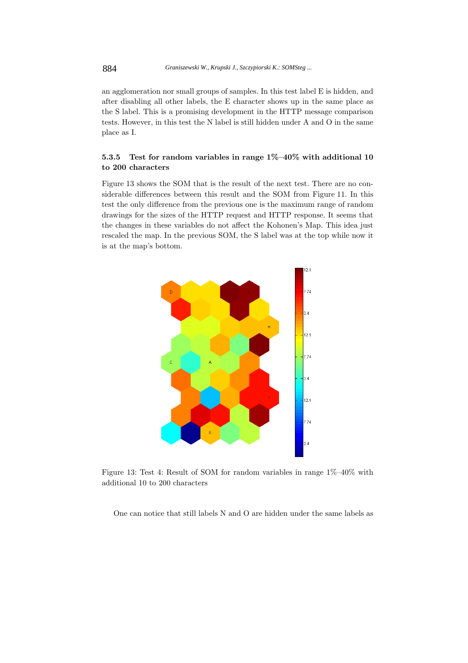an agglomeration nor small groups of samples. In this test label E is hidden, and after disabling all other labels, the E character shows up in the same place as the S label. This is a promising development in the HTTP message comparison tests. However, in this test the N label is still hidden under A and O in the same place as I.

# **5.3.5 Test for random variables in range 1%–40% with additional 10 to 200 characters**

Figure 13 shows the SOM that is the result of the next test. There are no considerable differences between this result and the SOM from Figure 11. In this test the only difference from the previous one is the maximum range of random drawings for the sizes of the HTTP request and HTTP response. It seems that the changes in these variables do not affect the Kohonen's Map. This idea just rescaled the map. In the previous SOM, the S label was at the top while now it is at the map's bottom.



Figure 13: Test 4: Result of SOM for random variables in range 1%–40% with additional 10 to 200 characters

One can notice that still labels N and O are hidden under the same labels as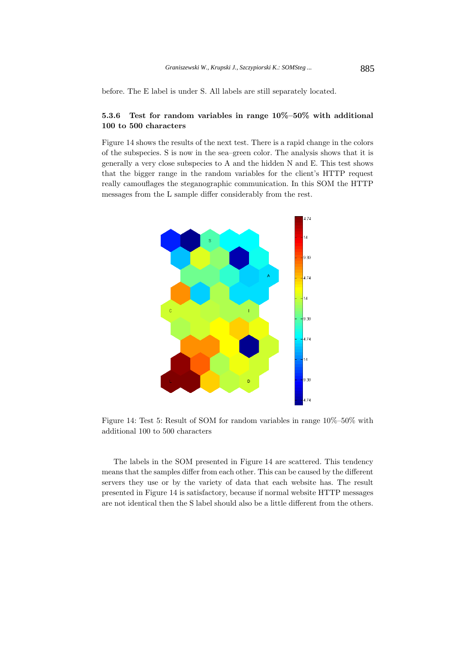before. The E label is under S. All labels are still separately located.

# **5.3.6 Test for random variables in range 10%–50% with additional 100 to 500 characters**

Figure 14 shows the results of the next test. There is a rapid change in the colors of the subspecies. S is now in the sea–green color. The analysis shows that it is generally a very close subspecies to A and the hidden N and E. This test shows that the bigger range in the random variables for the client's HTTP request really camouflages the steganographic communication. In this SOM the HTTP messages from the L sample differ considerably from the rest.



Figure 14: Test 5: Result of SOM for random variables in range 10%–50% with additional 100 to 500 characters

The labels in the SOM presented in Figure 14 are scattered. This tendency means that the samples differ from each other. This can be caused by the different servers they use or by the variety of data that each website has. The result presented in Figure 14 is satisfactory, because if normal website HTTP messages are not identical then the S label should also be a little different from the others.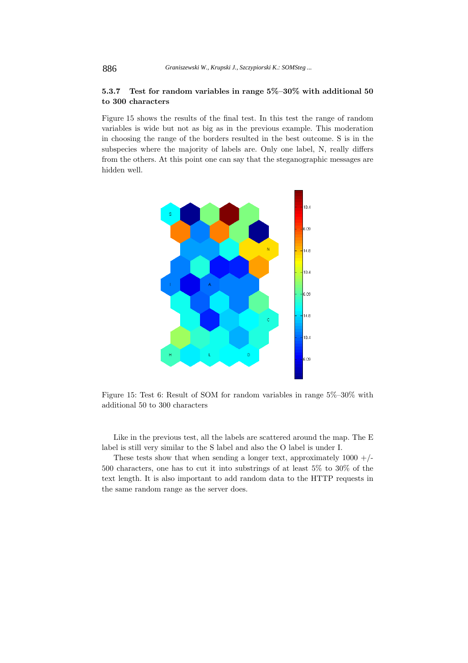## **5.3.7 Test for random variables in range 5%–30% with additional 50 to 300 characters**

Figure 15 shows the results of the final test. In this test the range of random variables is wide but not as big as in the previous example. This moderation in choosing the range of the borders resulted in the best outcome. S is in the subspecies where the majority of labels are. Only one label, N, really differs from the others. At this point one can say that the steganographic messages are hidden well.



Figure 15: Test 6: Result of SOM for random variables in range 5%–30% with additional 50 to 300 characters

Like in the previous test, all the labels are scattered around the map. The E label is still very similar to the S label and also the O label is under I.

These tests show that when sending a longer text, approximately  $1000 + /-$ 500 characters, one has to cut it into substrings of at least 5% to 30% of the text length. It is also important to add random data to the HTTP requests in the same random range as the server does.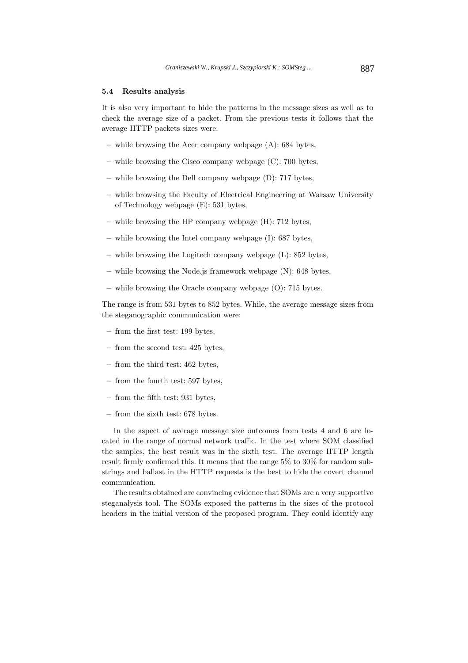### **5.4 Results analysis**

It is also very important to hide the patterns in the message sizes as well as to check the average size of a packet. From the previous tests it follows that the average HTTP packets sizes were:

- **–** while browsing the Acer company webpage (A): 684 bytes,
- **–** while browsing the Cisco company webpage (C): 700 bytes,
- **–** while browsing the Dell company webpage (D): 717 bytes,
- **–** while browsing the Faculty of Electrical Engineering at Warsaw University of Technology webpage (E): 531 bytes,
- **–** while browsing the HP company webpage (H): 712 bytes,
- **–** while browsing the Intel company webpage (I): 687 bytes,
- **–** while browsing the Logitech company webpage (L): 852 bytes,
- **–** while browsing the Node.js framework webpage (N): 648 bytes,
- **–** while browsing the Oracle company webpage (O): 715 bytes.

The range is from 531 bytes to 852 bytes. While, the average message sizes from the steganographic communication were:

- **–** from the first test: 199 bytes,
- **–** from the second test: 425 bytes,
- **–** from the third test: 462 bytes,
- **–** from the fourth test: 597 bytes,
- **–** from the fifth test: 931 bytes,
- **–** from the sixth test: 678 bytes.

In the aspect of average message size outcomes from tests 4 and 6 are located in the range of normal network traffic. In the test where SOM classified the samples, the best result was in the sixth test. The average HTTP length result firmly confirmed this. It means that the range 5% to 30% for random substrings and ballast in the HTTP requests is the best to hide the covert channel communication.

The results obtained are convincing evidence that SOMs are a very supportive steganalysis tool. The SOMs exposed the patterns in the sizes of the protocol headers in the initial version of the proposed program. They could identify any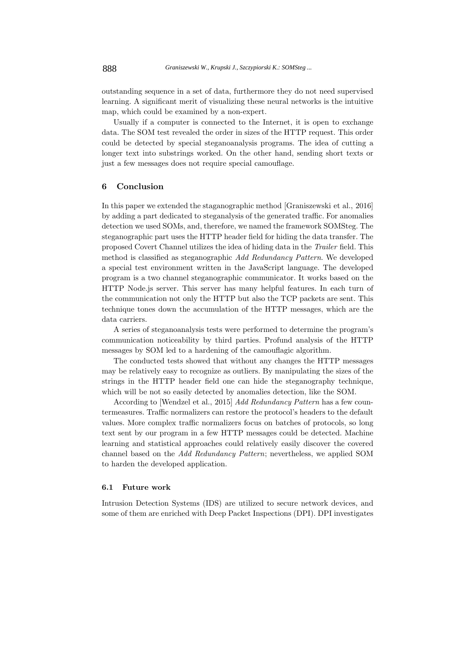outstanding sequence in a set of data, furthermore they do not need supervised learning. A significant merit of visualizing these neural networks is the intuitive map, which could be examined by a non-expert.

Usually if a computer is connected to the Internet, it is open to exchange data. The SOM test revealed the order in sizes of the HTTP request. This order could be detected by special steganoanalysis programs. The idea of cutting a longer text into substrings worked. On the other hand, sending short texts or just a few messages does not require special camouflage.

### **6 Conclusion**

In this paper we extended the staganographic method [Graniszewski et al., 2016] by adding a part dedicated to steganalysis of the generated traffic. For anomalies detection we used SOMs, and, therefore, we named the framework SOMSteg. The steganographic part uses the HTTP header field for hiding the data transfer. The proposed Covert Channel utilizes the idea of hiding data in the Trailer field. This method is classified as steganographic Add Redundancy Pattern. We developed a special test environment written in the JavaScript language. The developed program is a two channel steganographic communicator. It works based on the HTTP Node.js server. This server has many helpful features. In each turn of the communication not only the HTTP but also the TCP packets are sent. This technique tones down the accumulation of the HTTP messages, which are the data carriers.

A series of steganoanalysis tests were performed to determine the program's communication noticeability by third parties. Profund analysis of the HTTP messages by SOM led to a hardening of the camouflagic algorithm.

The conducted tests showed that without any changes the HTTP messages may be relatively easy to recognize as outliers. By manipulating the sizes of the strings in the HTTP header field one can hide the steganography technique, which will be not so easily detected by anomalies detection, like the SOM.

According to [Wendzel et al., 2015] Add Redundancy Pattern has a few countermeasures. Traffic normalizers can restore the protocol's headers to the default values. More complex traffic normalizers focus on batches of protocols, so long text sent by our program in a few HTTP messages could be detected. Machine learning and statistical approaches could relatively easily discover the covered channel based on the Add Redundancy Pattern; nevertheless, we applied SOM to harden the developed application.

#### **6.1 Future work**

Intrusion Detection Systems (IDS) are utilized to secure network devices, and some of them are enriched with Deep Packet Inspections (DPI). DPI investigates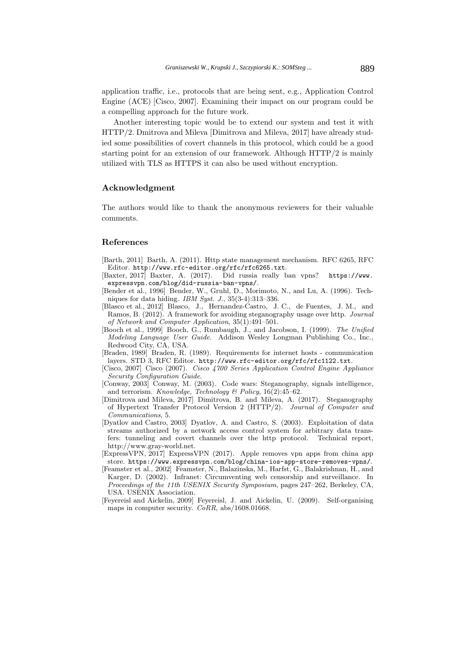application traffic, i.e., protocols that are being sent, e.g., Application Control Engine (ACE) [Cisco, 2007]. Examining their impact on our program could be a compelling approach for the future work.

Another interesting topic would be to extend our system and test it with HTTP/2. Dmitrova and Mileva [Dimitrova and Mileva, 2017] have already studied some possibilities of covert channels in this protocol, which could be a good starting point for an extension of our framework. Although HTTP/2 is mainly utilized with TLS as HTTPS it can also be used without encryption.

### **Acknowledgment**

The authors would like to thank the anonymous reviewers for their valuable comments.

#### **References**

- [Barth, 2011] Barth, A. (2011). Http state management mechanism. RFC 6265, RFC Editor. http://www.rfc-editor.org/rfc/rfc6265.txt.
- [Baxter, 2017] Baxter, A. (2017). Did russia really ban vpns? https://www. expressvpn.com/blog/did-russia-ban-vpns/.
- [Bender et al., 1996] Bender, W., Gruhl, D., Morimoto, N., and Lu, A. (1996). Techniques for data hiding. IBM Syst. J., 35(3-4):313–336.
- [Blasco et al., 2012] Blasco, J., Hernandez-Castro, J. C., de Fuentes, J. M., and Ramos, B. (2012). A framework for avoiding steganography usage over http. Journal of Network and Computer Application, 35(1):491–501.
- [Booch et al., 1999] Booch, G., Rumbaugh, J., and Jacobson, I. (1999). The Unified Modeling Language User Guide. Addison Wesley Longman Publishing Co., Inc., Redwood City, CA, USA.
- [Braden, 1989] Braden, R. (1989). Requirements for internet hosts communication layers. STD 3, RFC Editor. http://www.rfc-editor.org/rfc/rfc1122.txt.
- [Cisco, 2007] Cisco (2007). Cisco 4700 Series Application Control Engine Appliance Security Configuration Guide.
- [Conway, 2003] Conway, M. (2003). Code wars: Steganography, signals intelligence, and terrorism. Knowledge, Technology & Policy,  $16(2)$ :  $45-62$ .
- [Dimitrova and Mileva, 2017] Dimitrova, B. and Mileva, A. (2017). Steganography of Hypertext Transfer Protocol Version 2 (HTTP/2). Journal of Computer and Communications, 5.
- [Dyatlov and Castro, 2003] Dyatlov, A. and Castro, S. (2003). Exploitation of data streams authorized by a network access control system for arbitrary data transfers: tunneling and covert channels over the http protocol. Technical report, http://www.gray-world.net.
- [ExpressVPN, 2017] ExpressVPN (2017). Apple removes vpn apps from china app store. https://www.expressvpn.com/blog/china-ios-app-store-removes-vpns/.
- [Feamster et al., 2002] Feamster, N., Balazinska, M., Harfst, G., Balakrishnan, H., and Karger, D. (2002). Infranet: Circumventing web censorship and surveillance. In Proceedings of the 11th USENIX Security Symposium, pages 247–262, Berkeley, CA, USA. USENIX Association.
- [Feyereisl and Aickelin, 2009] Feyereisl, J. and Aickelin, U. (2009). Self-organising maps in computer security.  $CoRR$ , abs/1608.01668.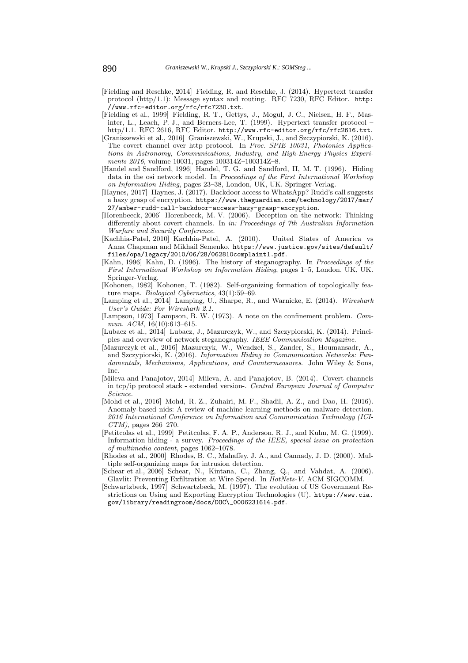- [Fielding and Reschke, 2014] Fielding, R. and Reschke, J. (2014). Hypertext transfer protocol (http/1.1): Message syntax and routing. RFC 7230, RFC Editor. http: //www.rfc-editor.org/rfc/rfc7230.txt.
- [Fielding et al., 1999] Fielding, R. T., Gettys, J., Mogul, J. C., Nielsen, H. F., Masinter, L., Leach, P. J., and Berners-Lee, T. (1999). Hypertext transfer protocol – http/1.1. RFC 2616, RFC Editor. http://www.rfc-editor.org/rfc/rfc2616.txt.
- [Graniszewski et al., 2016] Graniszewski, W., Krupski, J., and Szczypiorski, K. (2016). The covert channel over http protocol. In Proc. SPIE 10031, Photonics Applications in Astronomy, Communications, Industry, and High-Energy Physics Experiments 2016, volume 10031, pages 100314Z–100314Z–8.
- [Handel and Sandford, 1996] Handel, T. G. and Sandford, II, M. T. (1996). Hiding data in the osi network model. In Proceedings of the First International Workshop on Information Hiding, pages 23–38, London, UK, UK. Springer-Verlag.
- [Haynes, 2017] Haynes, J. (2017). Backdoor access to WhatsApp? Rudd's call suggests a hazy grasp of encryption. https://www.theguardian.com/technology/2017/mar/ 27/amber-rudd-call-backdoor-access-hazy-grasp-encryption.
- [Horenbeeck, 2006] Horenbeeck, M. V. (2006). Deception on the network: Thinking differently about covert channels. In in: Proceedings of 7th Australian Information Warfare and Security Conference.
- [Kachhia-Patel, 2010] Kachhia-Patel, A. (2010). United States of America vs Anna Chapman and Mikhail Semenko. https://www.justice.gov/sites/default/ files/opa/legacy/2010/06/28/062810complaint1.pdf.
- [Kahn, 1996] Kahn, D. (1996). The history of steganography. In Proceedings of the First International Workshop on Information Hiding, pages 1–5, London, UK, UK. Springer-Verlag.
- [Kohonen, 1982] Kohonen, T. (1982). Self-organizing formation of topologically feature maps. Biological Cybernetics, 43(1):59–69.
- [Lamping et al., 2014] Lamping, U., Sharpe, R., and Warnicke, E. (2014). Wireshark User's Guide: For Wireshark 2.1.
- [Lampson, 1973] Lampson, B. W. (1973). A note on the confinement problem. Commun. ACM, 16(10):613-615.
- [Lubacz et al., 2014] Lubacz, J., Mazurczyk, W., and Szczypiorski, K. (2014). Principles and overview of network steganography. IEEE Communication Magazine.
- [Mazurczyk et al., 2016] Mazurczyk, W., Wendzel, S., Zander, S., Houmansadr, A., and Szczypiorski, K. (2016). Information Hiding in Communication Networks: Fundamentals, Mechanisms, Applications, and Countermeasures. John Wiley & Sons, Inc.
- [Mileva and Panajotov, 2014] Mileva, A. and Panajotov, B. (2014). Covert channels in tcp/ip protocol stack - extended version-. Central European Journal of Computer Science.
- [Mohd et al., 2016] Mohd, R. Z., Zuhairi, M. F., Shadil, A. Z., and Dao, H. (2016). Anomaly-based nids: A review of machine learning methods on malware detection. 2016 International Conference on Information and Communication Technology (ICI- $CTM$ ), pages 266–270.
- [Petitcolas et al., 1999] Petitcolas, F. A. P., Anderson, R. J., and Kuhn, M. G. (1999). Information hiding - a survey. Proceedings of the IEEE, special issue on protection of multimedia content, pages 1062–1078.
- [Rhodes et al., 2000] Rhodes, B. C., Mahaffey, J. A., and Cannady, J. D. (2000). Multiple self-organizing maps for intrusion detection.
- [Schear et al., 2006] Schear, N., Kintana, C., Zhang, Q., and Vahdat, A. (2006). Glavlit: Preventing Exfiltration at Wire Speed. In HotNets-V. ACM SIGCOMM.
- [Schwartzbeck, 1997] Schwartzbeck, M. (1997). The evolution of US Government Restrictions on Using and Exporting Encryption Technologies (U). https://www.cia. gov/library/readingroom/docs/DOC\\_0006231614.pdf.